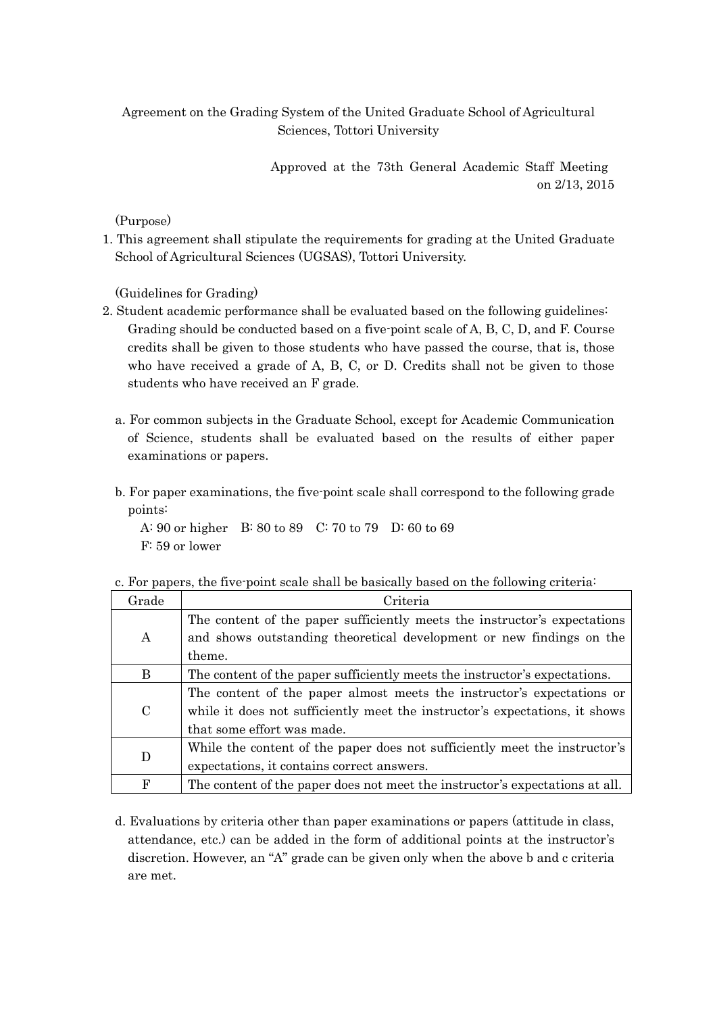## Agreement on the Grading System of the United Graduate School of Agricultural Sciences, Tottori University

Approved at the 73th General Academic Staff Meeting on 2/13, 2015

## (Purpose)

1. This agreement shall stipulate the requirements for grading at the United Graduate School of Agricultural Sciences (UGSAS), Tottori University.

(Guidelines for Grading)

- 2. Student academic performance shall be evaluated based on the following guidelines: Grading should be conducted based on a five-point scale of A, B, C, D, and F. Course credits shall be given to those students who have passed the course, that is, those who have received a grade of A, B, C, or D. Credits shall not be given to those students who have received an F grade.
	- a. For common subjects in the Graduate School, except for Academic Communication of Science, students shall be evaluated based on the results of either paper examinations or papers.
	- b. For paper examinations, the five-point scale shall correspond to the following grade points:

A: 90 or higher B: 80 to 89 C: 70 to 79 D: 60 to 69 F: 59 or lower

| Grade         | Criteria                                                                     |
|---------------|------------------------------------------------------------------------------|
| $\mathbf{A}$  | The content of the paper sufficiently meets the instructor's expectations    |
|               | and shows outstanding theoretical development or new findings on the         |
|               | theme.                                                                       |
| B             | The content of the paper sufficiently meets the instructor's expectations.   |
| $\mathcal{C}$ | The content of the paper almost meets the instructor's expectations or       |
|               | while it does not sufficiently meet the instructor's expectations, it shows  |
|               | that some effort was made.                                                   |
| D             | While the content of the paper does not sufficiently meet the instructor's   |
|               | expectations, it contains correct answers.                                   |
| $\mathbf F$   | The content of the paper does not meet the instructor's expectations at all. |

c. For papers, the five-point scale shall be basically based on the following criteria:

d. Evaluations by criteria other than paper examinations or papers (attitude in class, attendance, etc.) can be added in the form of additional points at the instructor's discretion. However, an "A" grade can be given only when the above b and c criteria are met.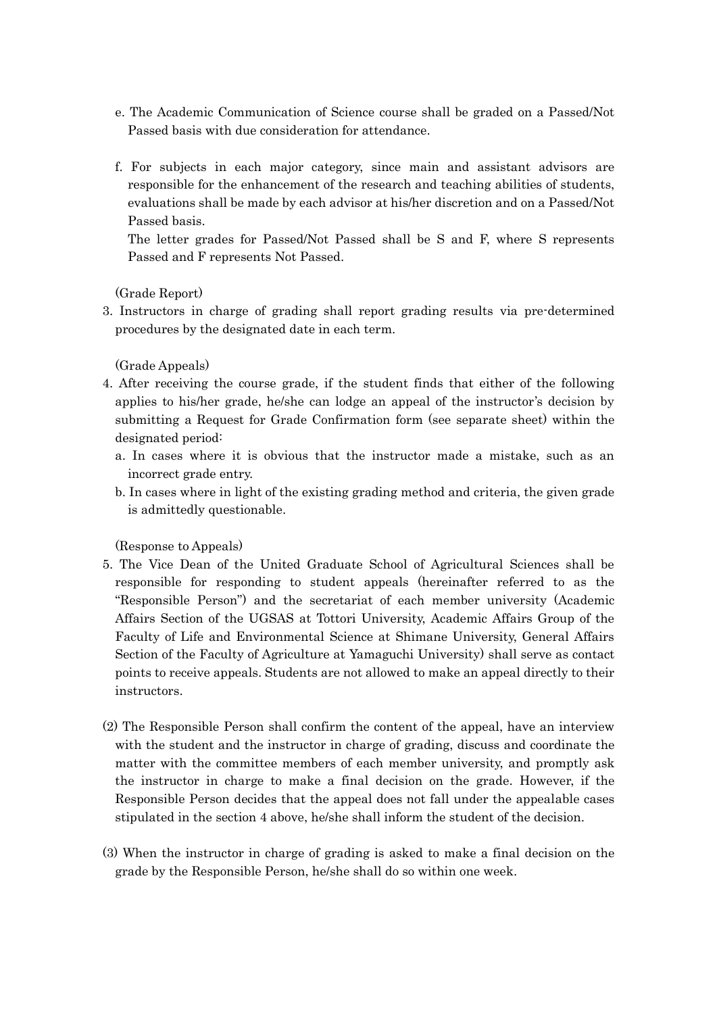- e. The Academic Communication of Science course shall be graded on a Passed/Not Passed basis with due consideration for attendance.
- f. For subjects in each major category, since main and assistant advisors are responsible for the enhancement of the research and teaching abilities of students, evaluations shall be made by each advisor at his/her discretion and on a Passed/Not Passed basis.

The letter grades for Passed/Not Passed shall be S and F, where S represents Passed and F represents Not Passed.

(Grade Report)

3. Instructors in charge of grading shall report grading results via pre-determined procedures by the designated date in each term.

(Grade Appeals)

- 4. After receiving the course grade, if the student finds that either of the following applies to his/her grade, he/she can lodge an appeal of the instructor's decision by submitting a Request for Grade Confirmation form (see separate sheet) within the designated period:
	- a. In cases where it is obvious that the instructor made a mistake, such as an incorrect grade entry.
	- b. In cases where in light of the existing grading method and criteria, the given grade is admittedly questionable.

(Response to Appeals)

- 5. The Vice Dean of the United Graduate School of Agricultural Sciences shall be responsible for responding to student appeals (hereinafter referred to as the "Responsible Person") and the secretariat of each member university (Academic Affairs Section of the UGSAS at Tottori University, Academic Affairs Group of the Faculty of Life and Environmental Science at Shimane University, General Affairs Section of the Faculty of Agriculture at Yamaguchi University) shall serve as contact points to receive appeals. Students are not allowed to make an appeal directly to their instructors.
- (2) The Responsible Person shall confirm the content of the appeal, have an interview with the student and the instructor in charge of grading, discuss and coordinate the matter with the committee members of each member university, and promptly ask the instructor in charge to make a final decision on the grade. However, if the Responsible Person decides that the appeal does not fall under the appealable cases stipulated in the section 4 above, he/she shall inform the student of the decision.
- (3) When the instructor in charge of grading is asked to make a final decision on the grade by the Responsible Person, he/she shall do so within one week.